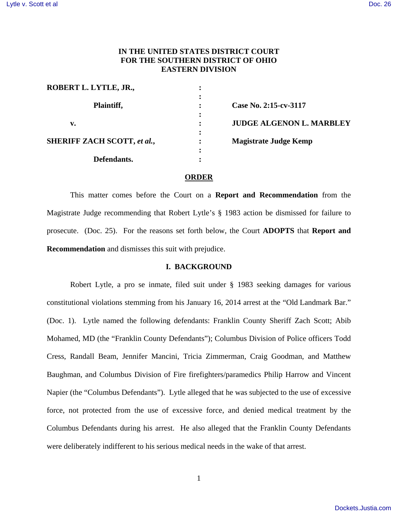# **IN THE UNITED STATES DISTRICT COURT FOR THE SOUTHERN DISTRICT OF OHIO EASTERN DIVISION**

| ROBERT L. LYTLE, JR.,              |           |                                 |
|------------------------------------|-----------|---------------------------------|
| Plaintiff,                         |           | Case No. 2:15-cv-3117           |
| v.                                 | $\bullet$ | <b>JUDGE ALGENON L. MARBLEY</b> |
| <b>SHERIFF ZACH SCOTT, et al.,</b> | ٠         | <b>Magistrate Judge Kemp</b>    |
| Defendants.                        | ٠         |                                 |

### **ORDER**

 This matter comes before the Court on a **Report and Recommendation** from the Magistrate Judge recommending that Robert Lytle's § 1983 action be dismissed for failure to prosecute. (Doc. 25). For the reasons set forth below, the Court **ADOPTS** that **Report and Recommendation** and dismisses this suit with prejudice.

## **I. BACKGROUND**

 Robert Lytle, a pro se inmate, filed suit under § 1983 seeking damages for various constitutional violations stemming from his January 16, 2014 arrest at the "Old Landmark Bar." (Doc. 1). Lytle named the following defendants: Franklin County Sheriff Zach Scott; Abib Mohamed, MD (the "Franklin County Defendants"); Columbus Division of Police officers Todd Cress, Randall Beam, Jennifer Mancini, Tricia Zimmerman, Craig Goodman, and Matthew Baughman, and Columbus Division of Fire firefighters/paramedics Philip Harrow and Vincent Napier (the "Columbus Defendants"). Lytle alleged that he was subjected to the use of excessive force, not protected from the use of excessive force, and denied medical treatment by the Columbus Defendants during his arrest. He also alleged that the Franklin County Defendants were deliberately indifferent to his serious medical needs in the wake of that arrest.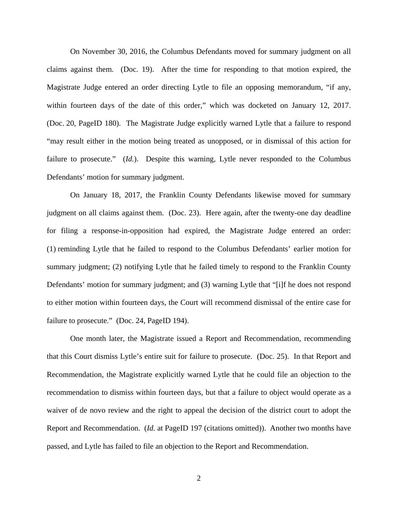On November 30, 2016, the Columbus Defendants moved for summary judgment on all claims against them. (Doc. 19). After the time for responding to that motion expired, the Magistrate Judge entered an order directing Lytle to file an opposing memorandum, "if any, within fourteen days of the date of this order," which was docketed on January 12, 2017. (Doc. 20, PageID 180). The Magistrate Judge explicitly warned Lytle that a failure to respond "may result either in the motion being treated as unopposed, or in dismissal of this action for failure to prosecute." (*Id.*). Despite this warning, Lytle never responded to the Columbus Defendants' motion for summary judgment.

 On January 18, 2017, the Franklin County Defendants likewise moved for summary judgment on all claims against them. (Doc. 23). Here again, after the twenty-one day deadline for filing a response-in-opposition had expired, the Magistrate Judge entered an order: (1) reminding Lytle that he failed to respond to the Columbus Defendants' earlier motion for summary judgment; (2) notifying Lytle that he failed timely to respond to the Franklin County Defendants' motion for summary judgment; and (3) warning Lytle that "[i]f he does not respond to either motion within fourteen days, the Court will recommend dismissal of the entire case for failure to prosecute." (Doc. 24, PageID 194).

 One month later, the Magistrate issued a Report and Recommendation, recommending that this Court dismiss Lytle's entire suit for failure to prosecute. (Doc. 25). In that Report and Recommendation, the Magistrate explicitly warned Lytle that he could file an objection to the recommendation to dismiss within fourteen days, but that a failure to object would operate as a waiver of de novo review and the right to appeal the decision of the district court to adopt the Report and Recommendation. (*Id.* at PageID 197 (citations omitted)). Another two months have passed, and Lytle has failed to file an objection to the Report and Recommendation.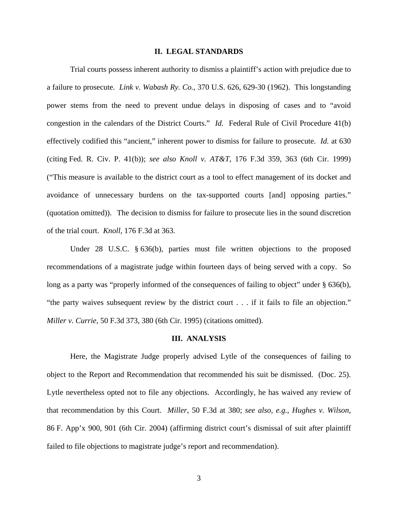### **II. LEGAL STANDARDS**

 Trial courts possess inherent authority to dismiss a plaintiff's action with prejudice due to a failure to prosecute. *Link v. Wabash Ry. Co.*, 370 U.S. 626, 629-30 (1962). This longstanding power stems from the need to prevent undue delays in disposing of cases and to "avoid congestion in the calendars of the District Courts." *Id.* Federal Rule of Civil Procedure 41(b) effectively codified this "ancient," inherent power to dismiss for failure to prosecute. *Id.* at 630 (citing Fed. R. Civ. P. 41(b)); *see also Knoll v. AT&T*, 176 F.3d 359, 363 (6th Cir. 1999) ("This measure is available to the district court as a tool to effect management of its docket and avoidance of unnecessary burdens on the tax-supported courts [and] opposing parties." (quotation omitted)). The decision to dismiss for failure to prosecute lies in the sound discretion of the trial court. *Knoll*, 176 F.3d at 363.

Under 28 U.S.C. § 636(b), parties must file written objections to the proposed recommendations of a magistrate judge within fourteen days of being served with a copy. So long as a party was "properly informed of the consequences of failing to object" under § 636(b), "the party waives subsequent review by the district court . . . if it fails to file an objection." *Miller v. Currie*, 50 F.3d 373, 380 (6th Cir. 1995) (citations omitted).

#### **III. ANALYSIS**

Here, the Magistrate Judge properly advised Lytle of the consequences of failing to object to the Report and Recommendation that recommended his suit be dismissed. (Doc. 25). Lytle nevertheless opted not to file any objections. Accordingly, he has waived any review of that recommendation by this Court. *Miller*, 50 F.3d at 380; *see also, e.g.*, *Hughes v. Wilson*, 86 F. App'x 900, 901 (6th Cir. 2004) (affirming district court's dismissal of suit after plaintiff failed to file objections to magistrate judge's report and recommendation).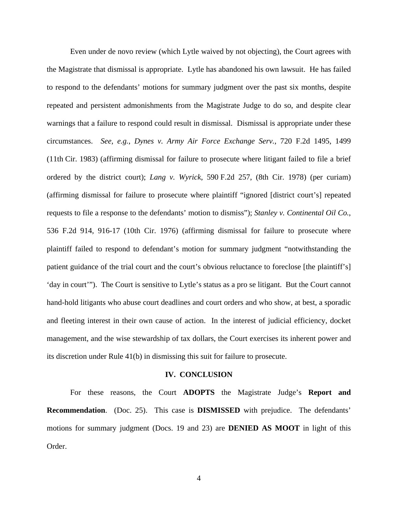Even under de novo review (which Lytle waived by not objecting), the Court agrees with the Magistrate that dismissal is appropriate. Lytle has abandoned his own lawsuit. He has failed to respond to the defendants' motions for summary judgment over the past six months, despite repeated and persistent admonishments from the Magistrate Judge to do so, and despite clear warnings that a failure to respond could result in dismissal. Dismissal is appropriate under these circumstances. *See, e.g.*, *Dynes v. Army Air Force Exchange Serv.*, 720 F.2d 1495, 1499 (11th Cir. 1983) (affirming dismissal for failure to prosecute where litigant failed to file a brief ordered by the district court); *Lang v. Wyrick*, 590 F.2d 257, (8th Cir. 1978) (per curiam) (affirming dismissal for failure to prosecute where plaintiff "ignored [district court's] repeated requests to file a response to the defendants' motion to dismiss"); *Stanley v. Continental Oil Co.*, 536 F.2d 914, 916-17 (10th Cir. 1976) (affirming dismissal for failure to prosecute where plaintiff failed to respond to defendant's motion for summary judgment "notwithstanding the patient guidance of the trial court and the court's obvious reluctance to foreclose [the plaintiff's] 'day in court'"). The Court is sensitive to Lytle's status as a pro se litigant. But the Court cannot hand-hold litigants who abuse court deadlines and court orders and who show, at best, a sporadic and fleeting interest in their own cause of action. In the interest of judicial efficiency, docket management, and the wise stewardship of tax dollars, the Court exercises its inherent power and its discretion under Rule 41(b) in dismissing this suit for failure to prosecute.

#### **IV. CONCLUSION**

For these reasons, the Court **ADOPTS** the Magistrate Judge's **Report and Recommendation**. (Doc. 25). This case is **DISMISSED** with prejudice. The defendants' motions for summary judgment (Docs. 19 and 23) are **DENIED AS MOOT** in light of this Order.